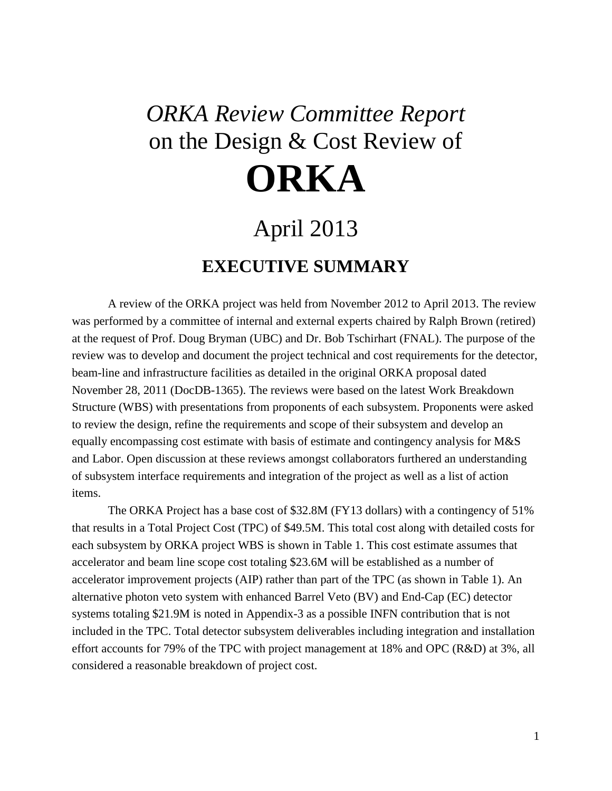## *ORKA Review Committee Report* on the Design & Cost Review of **ORKA**

## April 2013

## **EXECUTIVE SUMMARY**

A review of the ORKA project was held from November 2012 to April 2013. The review was performed by a committee of internal and external experts chaired by Ralph Brown (retired) at the request of Prof. Doug Bryman (UBC) and Dr. Bob Tschirhart (FNAL). The purpose of the review was to develop and document the project technical and cost requirements for the detector, beam-line and infrastructure facilities as detailed in the original ORKA proposal dated November 28, 2011 (DocDB-1365). The reviews were based on the latest Work Breakdown Structure (WBS) with presentations from proponents of each subsystem. Proponents were asked to review the design, refine the requirements and scope of their subsystem and develop an equally encompassing cost estimate with basis of estimate and contingency analysis for M&S and Labor. Open discussion at these reviews amongst collaborators furthered an understanding of subsystem interface requirements and integration of the project as well as a list of action items.

The ORKA Project has a base cost of \$32.8M (FY13 dollars) with a contingency of 51% that results in a Total Project Cost (TPC) of \$49.5M. This total cost along with detailed costs for each subsystem by ORKA project WBS is shown in Table 1. This cost estimate assumes that accelerator and beam line scope cost totaling \$23.6M will be established as a number of accelerator improvement projects (AIP) rather than part of the TPC (as shown in Table 1). An alternative photon veto system with enhanced Barrel Veto (BV) and End-Cap (EC) detector systems totaling \$21.9M is noted in Appendix-3 as a possible INFN contribution that is not included in the TPC. Total detector subsystem deliverables including integration and installation effort accounts for 79% of the TPC with project management at 18% and OPC (R&D) at 3%, all considered a reasonable breakdown of project cost.